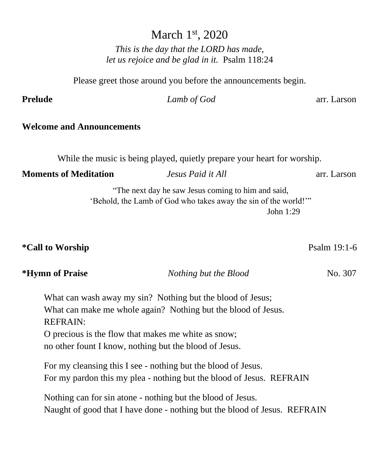March 1<sup>st</sup>, 2020

*This is the day that the LORD has made, let us rejoice and be glad in it.* Psalm 118:24

Please greet those around you before the announcements begin.

**Prelude** *Lamb of God* arr. Larson

### **Welcome and Announcements**

While the music is being played, quietly prepare your heart for worship.

**Moments of Meditation** *<i>Jesus Paid it All* **<b>arrival** arrival arrival arrival arrival arrival arrival arrival arrival arrival arrival arrival arrival arrival arrival arrival arrival arrival arrival arrival arrival arriva

"The next day he saw Jesus coming to him and said, 'Behold, the Lamb of God who takes away the sin of the world!'" John 1:29

**\*Call to Worship** Psalm 19:1-6

| <i><b>*Hymn of Praise</b></i> | Nothing but the Blood | No. 307 |
|-------------------------------|-----------------------|---------|
|-------------------------------|-----------------------|---------|

What can wash away my sin? Nothing but the blood of Jesus; What can make me whole again? Nothing but the blood of Jesus. REFRAIN:

O precious is the flow that makes me white as snow; no other fount I know, nothing but the blood of Jesus.

For my cleansing this I see - nothing but the blood of Jesus. For my pardon this my plea - nothing but the blood of Jesus. REFRAIN

Nothing can for sin atone - nothing but the blood of Jesus. Naught of good that I have done - nothing but the blood of Jesus. REFRAIN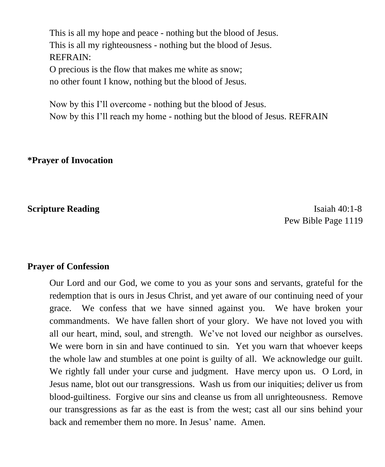This is all my hope and peace - nothing but the blood of Jesus. This is all my righteousness - nothing but the blood of Jesus. REFRAIN: O precious is the flow that makes me white as snow; no other fount I know, nothing but the blood of Jesus.

Now by this I'll overcome - nothing but the blood of Jesus. Now by this I'll reach my home - nothing but the blood of Jesus. REFRAIN

### **\*Prayer of Invocation**

**Scripture Reading Isaiah** 40:1-8 Pew Bible Page 1119

### **Prayer of Confession**

Our Lord and our God, we come to you as your sons and servants, grateful for the redemption that is ours in Jesus Christ, and yet aware of our continuing need of your grace. We confess that we have sinned against you. We have broken your commandments. We have fallen short of your glory. We have not loved you with all our heart, mind, soul, and strength. We've not loved our neighbor as ourselves. We were born in sin and have continued to sin. Yet you warn that whoever keeps the whole law and stumbles at one point is guilty of all. We acknowledge our guilt. We rightly fall under your curse and judgment. Have mercy upon us. O Lord, in Jesus name, blot out our transgressions. Wash us from our iniquities; deliver us from blood-guiltiness. Forgive our sins and cleanse us from all unrighteousness. Remove our transgressions as far as the east is from the west; cast all our sins behind your back and remember them no more. In Jesus' name. Amen.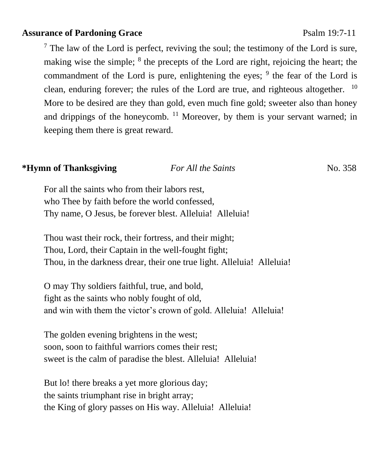### **Assurance of Pardoning Grace** Psalm 19:7-11

 $<sup>7</sup>$  The law of the Lord is perfect, reviving the soul; the testimony of the Lord is sure,</sup> making wise the simple;  $8$  the precepts of the Lord are right, rejoicing the heart; the commandment of the Lord is pure, enlightening the eyes;  $9$  the fear of the Lord is clean, enduring forever; the rules of the Lord are true, and righteous altogether. More to be desired are they than gold, even much fine gold; sweeter also than honey and drippings of the honeycomb.  $11$  Moreover, by them is your servant warned; in keeping them there is great reward.

# **\*Hymn of Thanksgiving** *For All the Saints* No. 358

For all the saints who from their labors rest, who Thee by faith before the world confessed, Thy name, O Jesus, be forever blest. Alleluia! Alleluia!

Thou wast their rock, their fortress, and their might; Thou, Lord, their Captain in the well-fought fight; Thou, in the darkness drear, their one true light. Alleluia! Alleluia!

O may Thy soldiers faithful, true, and bold, fight as the saints who nobly fought of old, and win with them the victor's crown of gold. Alleluia! Alleluia!

The golden evening brightens in the west; soon, soon to faithful warriors comes their rest; sweet is the calm of paradise the blest. Alleluia! Alleluia!

But lo! there breaks a yet more glorious day; the saints triumphant rise in bright array; the King of glory passes on His way. Alleluia! Alleluia!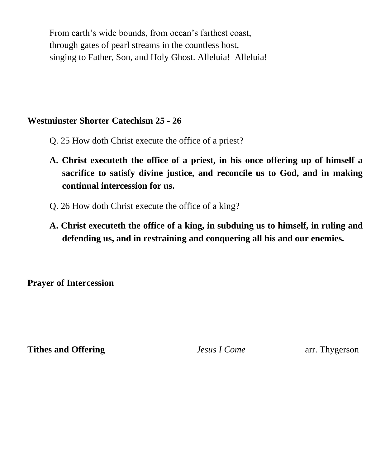From earth's wide bounds, from ocean's farthest coast, through gates of pearl streams in the countless host, singing to Father, Son, and Holy Ghost. Alleluia! Alleluia!

## **Westminster Shorter Catechism 25 - 26**

- Q. 25 How doth Christ execute the office of a priest?
- **A. Christ executeth the office of a priest, in his once offering up of himself a sacrifice to satisfy divine justice, and reconcile us to God, and in making continual intercession for us.**
- Q. 26 How doth Christ execute the office of a king?
- **A. Christ executeth the office of a king, in subduing us to himself, in ruling and defending us, and in restraining and conquering all his and our enemies.**

**Prayer of Intercession**

**Tithes and Offering** *Jesus I Come* arr. Thygerson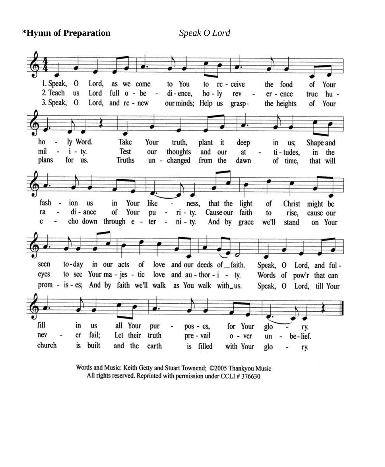**\*Hymn of Preparation** *Speak O Lord* 



Words and Music: Keith Getty and Stuart Townend; ©2005 Thankyou Music All rights reserved. Reprinted with permission under CCLI #376630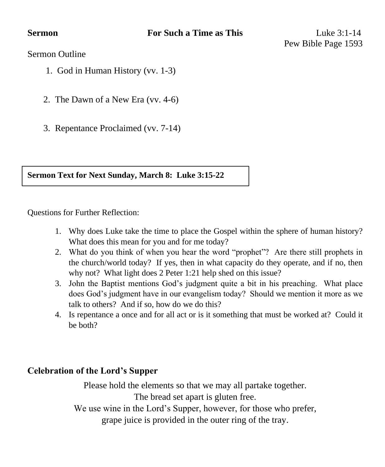Pew Bible Page 1593

Sermon Outline

- 1. God in Human History (vv. 1-3)
- 2. The Dawn of a New Era (vv. 4-6)
- 3. Repentance Proclaimed (vv. 7-14)

**Sermon Text for Next Sunday, March 8: Luke 3:15-22**

Questions for Further Reflection:

- 1. Why does Luke take the time to place the Gospel within the sphere of human history? What does this mean for you and for me today?
- 2. What do you think of when you hear the word "prophet"? Are there still prophets in the church/world today? If yes, then in what capacity do they operate, and if no, then why not? What light does 2 Peter 1:21 help shed on this issue?
- 3. John the Baptist mentions God's judgment quite a bit in his preaching. What place does God's judgment have in our evangelism today? Should we mention it more as we talk to others? And if so, how do we do this?
- 4. Is repentance a once and for all act or is it something that must be worked at? Could it be both?

### **Celebration of the Lord's Supper**

Please hold the elements so that we may all partake together.

The bread set apart is gluten free.

We use wine in the Lord's Supper, however, for those who prefer, grape juice is provided in the outer ring of the tray.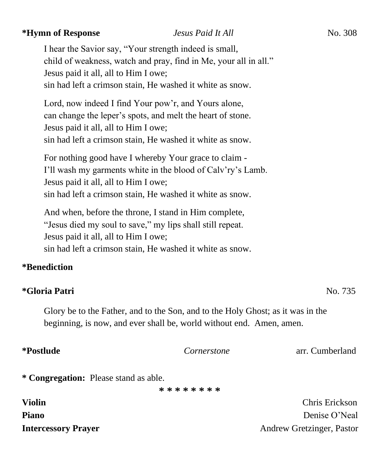### **\*Hymn of Response** *Jesus Paid It All* No. 308

I hear the Savior say, "Your strength indeed is small, child of weakness, watch and pray, find in Me, your all in all." Jesus paid it all, all to Him I owe; sin had left a crimson stain, He washed it white as snow.

Lord, now indeed I find Your pow'r, and Yours alone, can change the leper's spots, and melt the heart of stone. Jesus paid it all, all to Him I owe; sin had left a crimson stain, He washed it white as snow.

For nothing good have I whereby Your grace to claim - I'll wash my garments white in the blood of Calv'ry's Lamb. Jesus paid it all, all to Him I owe; sin had left a crimson stain, He washed it white as snow.

And when, before the throne, I stand in Him complete, "Jesus died my soul to save," my lips shall still repeat. Jesus paid it all, all to Him I owe; sin had left a crimson stain, He washed it white as snow.

### **\*Benediction**

## **\*Gloria Patri** No. 735

Glory be to the Father, and to the Son, and to the Holy Ghost; as it was in the beginning, is now, and ever shall be, world without end. Amen, amen.

**\*Postlude** *Cornerstone* arr. Cumberland

**\* Congregation:** Please stand as able.

**\* \* \* \* \* \* \* \***

| <b>Violin</b>              |
|----------------------------|
| Piano                      |
| <b>Intercessory Prayer</b> |

**Violin** Chris Erickson **Denise O'Neal Intervalle Prayer** Andrew Gretzinger, Pastor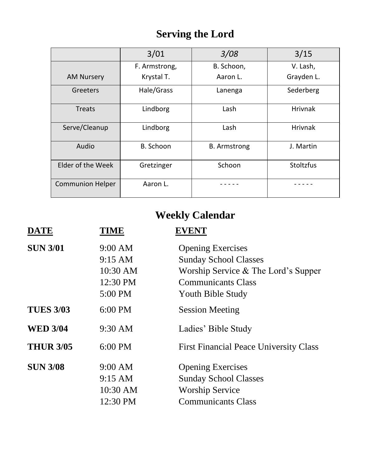# **Serving the Lord**

|                         | 3/01          | 3/08                | 3/15             |
|-------------------------|---------------|---------------------|------------------|
|                         | F. Armstrong, | B. Schoon,          | V. Lash,         |
| <b>AM Nursery</b>       | Krystal T.    | Aaron L.            | Grayden L.       |
| Greeters                | Hale/Grass    | Lanenga             | Sederberg        |
| Treats                  | Lindborg      | Lash                | <b>Hrivnak</b>   |
| Serve/Cleanup           | Lindborg      | Lash                | <b>Hrivnak</b>   |
| Audio                   | B. Schoon     | <b>B.</b> Armstrong | J. Martin        |
| Elder of the Week       | Gretzinger    | Schoon              | <b>Stoltzfus</b> |
| <b>Communion Helper</b> | Aaron L.      |                     |                  |

# **Weekly Calendar**

| <b>DATE</b>      | <b>TIME</b>       | <b>EVENT</b>                                  |
|------------------|-------------------|-----------------------------------------------|
| <b>SUN 3/01</b>  | 9:00 AM           | <b>Opening Exercises</b>                      |
|                  | $9:15 \text{ AM}$ | <b>Sunday School Classes</b>                  |
|                  | 10:30 AM          | Worship Service $&$ The Lord's Supper         |
|                  | 12:30 PM          | Communicants Class                            |
|                  | 5:00 PM           | Youth Bible Study                             |
| <b>TUES 3/03</b> | $6:00$ PM         | <b>Session Meeting</b>                        |
| <b>WED 3/04</b>  | 9:30 AM           | Ladies' Bible Study                           |
| <b>THUR 3/05</b> | 6:00 PM           | <b>First Financial Peace University Class</b> |
| <b>SUN 3/08</b>  | 9:00 AM           | <b>Opening Exercises</b>                      |
|                  | 9:15 AM           | <b>Sunday School Classes</b>                  |
|                  | 10:30 AM          | <b>Worship Service</b>                        |
|                  | 12:30 PM          | <b>Communicants Class</b>                     |